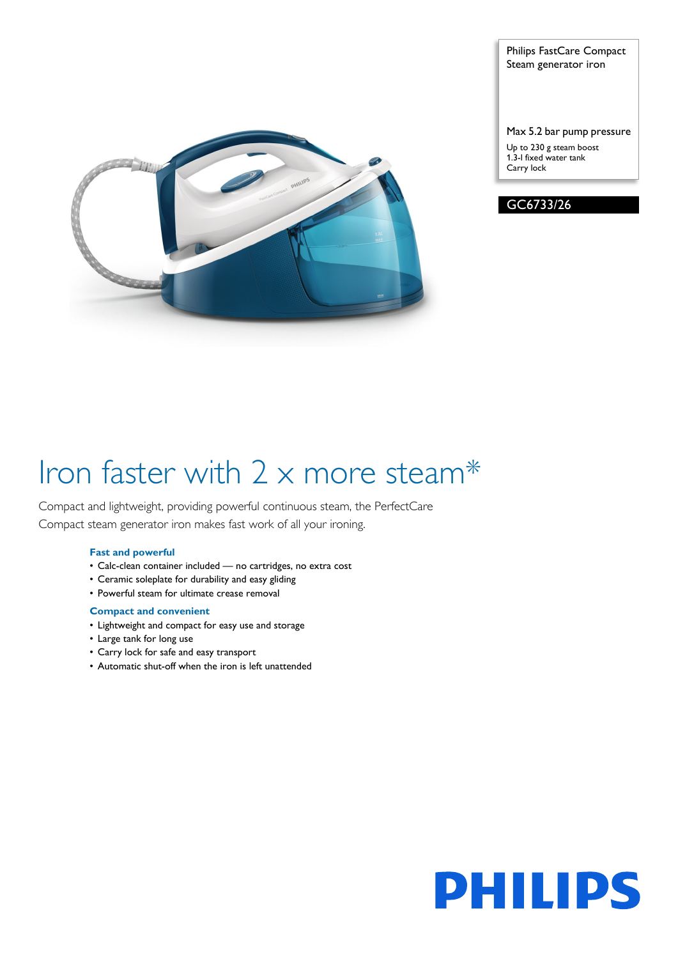

## Philips FastCare Compact Steam generator iron

### Max 5.2 bar pump pressure

Up to 230 g steam boost 1.3-l fixed water tank Carry lock



# Iron faster with 2 x more steam\*

Compact and lightweight, providing powerful continuous steam, the PerfectCare Compact steam generator iron makes fast work of all your ironing.

## **Fast and powerful**

- Calc-clean container included no cartridges, no extra cost
- Ceramic soleplate for durability and easy gliding
- Powerful steam for ultimate crease removal

## **Compact and convenient**

- Lightweight and compact for easy use and storage
- Large tank for long use
- Carry lock for safe and easy transport
- Automatic shut-off when the iron is left unattended

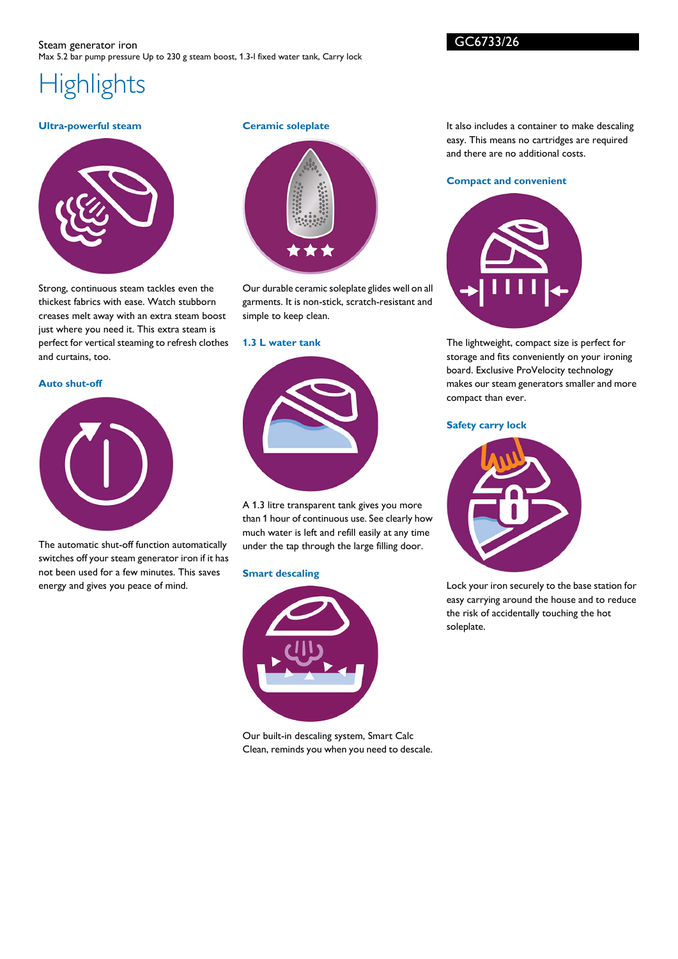GC6733/26

## **Highlights**

## **Ultra-powerful steam**



Strong, continuous steam tackles even the thickest fabrics with ease. Watch stubborn creases melt away with an extra steam boost just where you need it. This extra steam is perfect for vertical steaming to refresh clothes and curtains, too.

#### **Auto shut-off**



The automatic shut-off function automatically switches off your steam generator iron if it has not been used for a few minutes. This saves energy and gives you peace of mind.

## **Ceramic soleplate**



Our durable ceramic soleplate glides well on all garments. It is non-stick, scratch-resistant and simple to keep clean.

#### **1.3 L water tank**



A 1.3 litre transparent tank gives you more than 1 hour of continuous use. See clearly how much water is left and refill easily at any time under the tap through the large filling door.

#### **Smart descaling**



Our built-in descaling system, Smart Calc Clean, reminds you when you need to descale.

It also includes a container to make descaling easy. This means no cartridges are required and there are no additional costs.

#### **Compact and convenient**



The lightweight, compact size is perfect for storage and fits conveniently on your ironing board. Exclusive ProVelocity technology makes our steam generators smaller and more compact than ever.

#### **Safety carry lock**



Lock your iron securely to the base station for easy carrying around the house and to reduce the risk of accidentally touching the hot soleplate.